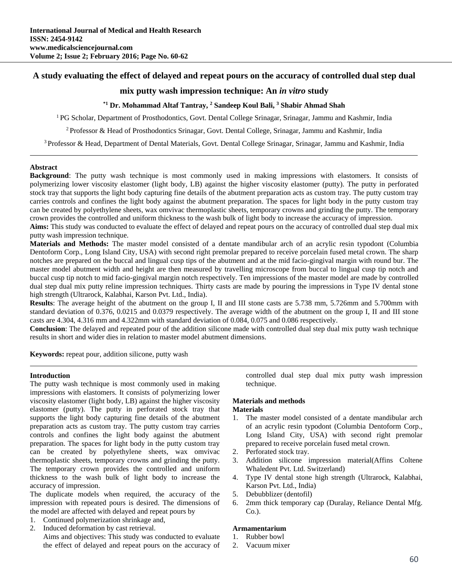# **A study evaluating the effect of delayed and repeat pours on the accuracy of controlled dual step dual**

# **mix putty wash impression technique: An** *in vitro* **study**

# **\*1 Dr. Mohammad Altaf Tantray, <sup>2</sup> Sandeep Koul Bali, <sup>3</sup> Shabir Ahmad Shah**

<sup>1</sup>PG Scholar, Department of Prosthodontics, Govt. Dental College Srinagar, Srinagar, Jammu and Kashmir, India

<sup>2</sup>Professor & Head of Prosthodontics Srinagar, Govt. Dental College, Srinagar, Jammu and Kashmir, India

<sup>3</sup>Professor & Head, Department of Dental Materials, Govt. Dental College Srinagar, Srinagar, Jammu and Kashmir, India

## **Abstract**

**Background**: The putty wash technique is most commonly used in making impressions with elastomers. It consists of polymerizing lower viscosity elastomer (light body, LB) against the higher viscosity elastomer (putty). The putty in perforated stock tray that supports the light body capturing fine details of the abutment preparation acts as custom tray. The putty custom tray carries controls and confines the light body against the abutment preparation. The spaces for light body in the putty custom tray can be created by polyethylene sheets, wax omvivac thermoplastic sheets, temporary crowns and grinding the putty. The temporary crown provides the controlled and uniform thickness to the wash bulk of light body to increase the accuracy of impression.

**Aims:** This study was conducted to evaluate the effect of delayed and repeat pours on the accuracy of controlled dual step dual mix putty wash impression technique.

**Materials and Methods:** The master model consisted of a dentate mandibular arch of an acrylic resin typodont (Columbia Dentoform Corp., Long Island City, USA) with second right premolar prepared to receive porcelain fused metal crown. The sharp notches are prepared on the buccal and lingual cusp tips of the abutment and at the mid facio-gingival margin with round bur. The master model abutment width and height are then measured by travelling microscope from buccal to lingual cusp tip notch and buccal cusp tip notch to mid facio-gingival margin notch respectively. Ten impressions of the master model are made by controlled dual step dual mix putty reline impression techniques. Thirty casts are made by pouring the impressions in Type IV dental stone high strength (Ultrarock, Kalabhai, Karson Pvt. Ltd., India).

**Results**: The average height of the abutment on the group I, II and III stone casts are 5.738 mm, 5.726mm and 5.700mm with standard deviation of 0.376, 0.0215 and 0.0379 respectively. The average width of the abutment on the group I, II and III stone casts are 4.304, 4.316 mm and 4.322mm with standard deviation of 0.084, 0.075 and 0.086 respectively.

**Conclusion**: The delayed and repeated pour of the addition silicone made with controlled dual step dual mix putty wash technique results in short and wider dies in relation to master model abutment dimensions.

**Keywords:** repeat pour, addition silicone, putty wash

### **Introduction**

The putty wash technique is most commonly used in making impressions with elastomers. It consists of polymerizing lower viscosity elastomer (light body, LB) against the higher viscosity elastomer (putty). The putty in perforated stock tray that supports the light body capturing fine details of the abutment preparation acts as custom tray. The putty custom tray carries controls and confines the light body against the abutment preparation. The spaces for light body in the putty custom tray can be created by polyethylene sheets, wax omvivac thermoplastic sheets, temporary crowns and grinding the putty. The temporary crown provides the controlled and uniform thickness to the wash bulk of light body to increase the accuracy of impression.

The duplicate models when required, the accuracy of the impression with repeated pours is desired. The dimensions of the model are affected with delayed and repeat pours by

- 1. Continued polymerization shrinkage and,
- 2. Induced deformation by cast retrieval.

Aims and objectives: This study was conducted to evaluate the effect of delayed and repeat pours on the accuracy of controlled dual step dual mix putty wash impression technique.

#### **Materials and methods Materials**

- 1. The master model consisted of a dentate mandibular arch of an acrylic resin typodont (Columbia Dentoform Corp., Long Island City, USA) with second right premolar prepared to receive porcelain fused metal crown.
- 2. Perforated stock tray.
- 3. Addition silicone impression material(Affins Coltene Whaledent Pvt. Ltd. Switzerland)
- 4. Type IV dental stone high strength (Ultrarock, Kalabhai, Karson Pvt. Ltd., India)
- 5. Debubblizer (dentofil)
- 6. 2mm thick temporary cap (Duralay, Reliance Dental Mfg. Co.).

## **Armamentarium**

- 1. Rubber bowl
- 2. Vacuum mixer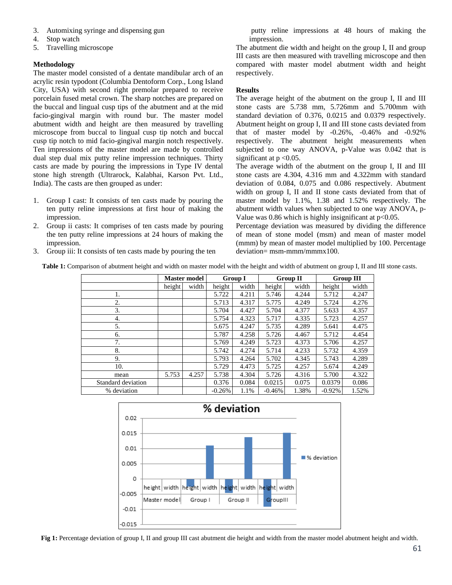- 3. Automixing syringe and dispensing gun
- 4. Stop watch
- 5. Travelling microscope

# **Methodology**

The master model consisted of a dentate mandibular arch of an acrylic resin typodont (Columbia Dentoform Corp., Long Island City, USA) with second right premolar prepared to receive porcelain fused metal crown. The sharp notches are prepared on the buccal and lingual cusp tips of the abutment and at the mid facio-gingival margin with round bur. The master model abutment width and height are then measured by travelling microscope from buccal to lingual cusp tip notch and buccal cusp tip notch to mid facio-gingival margin notch respectively. Ten impressions of the master model are made by controlled dual step dual mix putty reline impression techniques. Thirty casts are made by pouring the impressions in Type IV dental stone high strength (Ultrarock, Kalabhai, Karson Pvt. Ltd., India). The casts are then grouped as under:

- 1. Group I cast: It consists of ten casts made by pouring the ten putty reline impressions at first hour of making the impression.
- 2. Group ii casts: It comprises of ten casts made by pouring the ten putty reline impressions at 24 hours of making the impression.
- 3. Group iii: It consists of ten casts made by pouring the ten

putty reline impressions at 48 hours of making the impression.

The abutment die width and height on the group I, II and group III casts are then measured with travelling microscope and then compared with master model abutment width and height respectively.

# **Results**

The average height of the abutment on the group I, II and III stone casts are 5.738 mm, 5.726mm and 5.700mm with standard deviation of 0.376, 0.0215 and 0.0379 respectively. Abutment height on group I, II and III stone casts deviated from that of master model by -0.26%, -0.46% and -0.92% respectively. The abutment height measurements when subjected to one way ANOVA, p-Value was 0.042 that is significant at  $p < 0.05$ .

The average width of the abutment on the group I, II and III stone casts are 4.304, 4.316 mm and 4.322mm with standard deviation of 0.084, 0.075 and 0.086 respectively. Abutment width on group I, II and II stone casts deviated from that of master model by 1.1%, 1.38 and 1.52% respectively. The abutment width values when subjected to one way ANOVA, p-Value was 0.86 which is highly insignificant at  $p<0.05$ .

Percentage deviation was measured by dividing the difference of mean of stone model (msm) and mean of master model (mmm) by mean of master model multiplied by 100. Percentage deviation= msm-mmm/mmmx100.

**Table 1:** Comparison of abutment height and width on master model with the height and width of abutment on group I, II and III stone casts.

|                    | <b>Master model</b> |       | <b>Group I</b> |       | <b>Group II</b> |       | <b>Group III</b> |       |
|--------------------|---------------------|-------|----------------|-------|-----------------|-------|------------------|-------|
|                    | height              | width | height         | width | height          | width | height           | width |
| 1.                 |                     |       | 5.722          | 4.211 | 5.746           | 4.244 | 5.712            | 4.247 |
| 2.                 |                     |       | 5.713          | 4.317 | 5.775           | 4.249 | 5.724            | 4.276 |
| 3.                 |                     |       | 5.704          | 4.427 | 5.704           | 4.377 | 5.633            | 4.357 |
| 4.                 |                     |       | 5.754          | 4.323 | 5.717           | 4.335 | 5.723            | 4.257 |
| 5.                 |                     |       | 5.675          | 4.247 | 5.735           | 4.289 | 5.641            | 4.475 |
| 6.                 |                     |       | 5.787          | 4.258 | 5.726           | 4.467 | 5.712            | 4.454 |
| 7.                 |                     |       | 5.769          | 4.249 | 5.723           | 4.373 | 5.706            | 4.257 |
| 8.                 |                     |       | 5.742          | 4.274 | 5.714           | 4.233 | 5.732            | 4.359 |
| 9.                 |                     |       | 5.793          | 4.264 | 5.702           | 4.345 | 5.743            | 4.289 |
| 10.                |                     |       | 5.729          | 4.473 | 5.725           | 4.257 | 5.674            | 4.249 |
| mean               | 5.753               | 4.257 | 5.738          | 4.304 | 5.726           | 4.316 | 5.700            | 4.322 |
| Standard deviation |                     |       | 0.376          | 0.084 | 0.0215          | 0.075 | 0.0379           | 0.086 |
| % deviation        |                     |       | $-0.26%$       | 1.1%  | $-0.46%$        | 1.38% | $-0.92%$         | 1.52% |



**Fig 1:** Percentage deviation of group I, II and group III cast abutment die height and width from the master model abutment height and width.